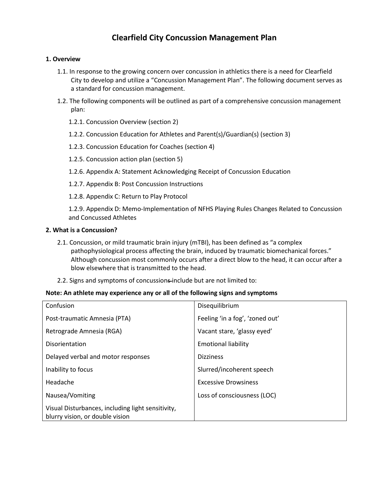## **1. Overview**

- 1.1. In response to the growing concern over concussion in athletics there is a need for Clearfield City to develop and utilize a "Concussion Management Plan". The following document serves as a standard for concussion management.
- 1.2. The following components will be outlined as part of a comprehensive concussion management plan:
	- 1.2.1. Concussion Overview (section 2)
	- 1.2.2. Concussion Education for Athletes and Parent(s)/Guardian(s) (section 3)
	- 1.2.3. Concussion Education for Coaches (section 4)
	- 1.2.5. Concussion action plan (section 5)
	- 1.2.6. Appendix A: Statement Acknowledging Receipt of Concussion Education
	- 1.2.7. Appendix B: Post Concussion Instructions
	- 1.2.8. Appendix C: Return to Play Protocol

1.2.9. Appendix D: Memo‐Implementation of NFHS Playing Rules Changes Related to Concussion and Concussed Athletes

### **2. What is a Concussion?**

- 2.1. Concussion, or mild traumatic brain injury (mTBI), has been defined as "a complex pathophysiological process affecting the brain, induced by traumatic biomechanical forces." Although concussion most commonly occurs after a direct blow to the head, it can occur after a blow elsewhere that is transmitted to the head.
- 2.2. Signs and symptoms of concussions-include but are not limited to:

### **Note: An athlete may experience any or all of the following signs and symptoms**

| Confusion                                                                            | Disequilibrium                  |
|--------------------------------------------------------------------------------------|---------------------------------|
| Post-traumatic Amnesia (PTA)                                                         | Feeling 'in a fog', 'zoned out' |
| Retrograde Amnesia (RGA)                                                             | Vacant stare, 'glassy eyed'     |
| Disorientation                                                                       | <b>Emotional liability</b>      |
| Delayed verbal and motor responses                                                   | <b>Dizziness</b>                |
| Inability to focus                                                                   | Slurred/incoherent speech       |
| Headache                                                                             | <b>Excessive Drowsiness</b>     |
| Nausea/Vomiting                                                                      | Loss of consciousness (LOC)     |
| Visual Disturbances, including light sensitivity,<br>blurry vision, or double vision |                                 |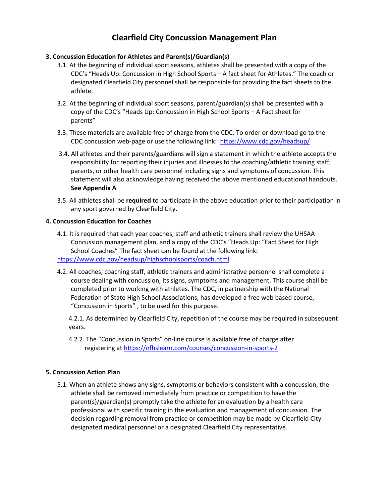## **3. Concussion Education for Athletes and Parent(s)/Guardian(s)**

- 3.1. At the beginning of individual sport seasons, athletes shall be presented with a copy of the CDC's "Heads Up: Concussion in High School Sports – A fact sheet for Athletes." The coach or designated Clearfield City personnel shall be responsible for providing the fact sheets to the athlete.
- 3.2. At the beginning of individual sport seasons, parent/guardian(s) shall be presented with a copy of the CDC's "Heads Up: Concussion in High School Sports – A Fact sheet for parents"
- 3.3. These materials are available free of charge from the CDC. To order or download go to the CDC concussion web-page or use the following link: <https://www.cdc.gov/headsup/>
- 3.4. All athletes and their parents/guardians will sign a statement in which the athlete accepts the responsibility for reporting their injuries and illnesses to the coaching/athletic training staff, parents, or other health care personnel including signs and symptoms of concussion. This statement will also acknowledge having received the above mentioned educational handouts. **See Appendix A**
- 3.5. All athletes shall be **required** to participate in the above education prior to their participation in any sport governed by Clearfield City.

### **4. Concussion Education for Coaches**

- 4.1. It is required that each year coaches, staff and athletic trainers shall review the UHSAA Concussion management plan, and a copy of the CDC's "Heads Up: "Fact Sheet for High School Coaches" The fact sheet can be found at the following link: <https://www.cdc.gov/headsup/highschoolsports/coach.html>
- 4.2. All coaches, coaching staff, athletic trainers and administrative personnel shall complete a course dealing with concussion, its signs, symptoms and management. This course shall be completed prior to working with athletes. The CDC, in partnership with the National Federation of State High School Associations, has developed a free web based course, "Concussion in Sports" , to be used for this purpose.

4.2.1. As determined by Clearfield City, repetition of the course may be required in subsequent years.

4.2.2. The "Concussion in Sports" on‐line course is available free of charge after registering at<https://nfhslearn.com/courses/concussion-in-sports-2>

### **5. Concussion Action Plan**

5.1. When an athlete shows any signs, symptoms or behaviors consistent with a concussion, the athlete shall be removed immediately from practice or competition to have the parent(s)/guardian(s) promptly take the athlete for an evaluation by a health care professional with specific training in the evaluation and management of concussion. The decision regarding removal from practice or competition may be made by Clearfield City designated medical personnel or a designated Clearfield City representative.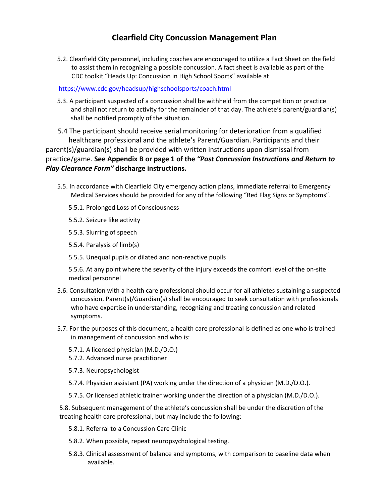5.2. Clearfield City personnel, including coaches are encouraged to utilize a Fact Sheet on the field to assist them in recognizing a possible concussion. A fact sheet is available as part of the CDC toolkit "Heads Up: Concussion in High School Sports" available at

## <https://www.cdc.gov/headsup/highschoolsports/coach.html>

5.3. A participant suspected of a concussion shall be withheld from the competition or practice and shall not return to activity for the remainder of that day. The athlete's parent/guardian(s) shall be notified promptly of the situation.

 5.4 The participant should receive serial monitoring for deterioration from a qualified healthcare professional and the athlete's Parent/Guardian. Participants and their parent(s)/guardian(s) shall be provided with written instructions upon dismissal from practice/game. **See Appendix B or page 1 of the** *"Post Concussion Instructions and Return to Play Clearance Form"* **discharge instructions.**

- 5.5. In accordance with Clearfield City emergency action plans, immediate referral to Emergency Medical Services should be provided for any of the following "Red Flag Signs or Symptoms".
	- 5.5.1. Prolonged Loss of Consciousness
	- 5.5.2. Seizure like activity
	- 5.5.3. Slurring of speech
	- 5.5.4. Paralysis of limb(s)
	- 5.5.5. Unequal pupils or dilated and non‐reactive pupils

5.5.6. At any point where the severity of the injury exceeds the comfort level of the on‐site medical personnel

- 5.6. Consultation with a health care professional should occur for all athletes sustaining a suspected concussion. Parent(s)/Guardian(s) shall be encouraged to seek consultation with professionals who have expertise in understanding, recognizing and treating concussion and related symptoms.
- 5.7. For the purposes of this document, a health care professional is defined as one who is trained in management of concussion and who is:
	- 5.7.1. A licensed physician (M.D./D.O.)
	- 5.7.2. Advanced nurse practitioner
	- 5.7.3. Neuropsychologist
	- 5.7.4. Physician assistant (PA) working under the direction of a physician (M.D./D.O.).
	- 5.7.5. Or licensed athletic trainer working under the direction of a physician (M.D./D.O.).

5.8. Subsequent management of the athlete's concussion shall be under the discretion of the treating health care professional, but may include the following:

- 5.8.1. Referral to a Concussion Care Clinic
- 5.8.2. When possible, repeat neuropsychological testing.
- 5.8.3. Clinical assessment of balance and symptoms, with comparison to baseline data when available.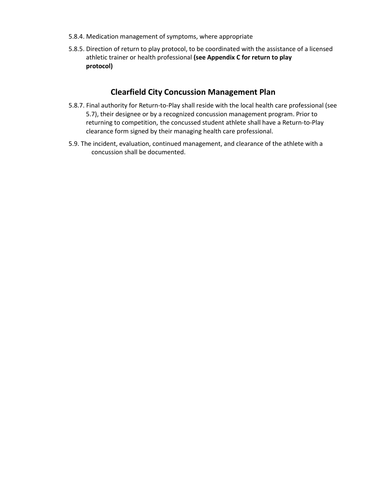- 5.8.4. Medication management of symptoms, where appropriate
- 5.8.5. Direction of return to play protocol, to be coordinated with the assistance of a licensed athletic trainer or health professional **(see Appendix C for return to play protocol)**

- 5.8.7. Final authority for Return‐to‐Play shall reside with the local health care professional (see 5.7), their designee or by a recognized concussion management program. Prior to returning to competition, the concussed student athlete shall have a Return‐to‐Play clearance form signed by their managing health care professional.
- 5.9. The incident, evaluation, continued management, and clearance of the athlete with a concussion shall be documented.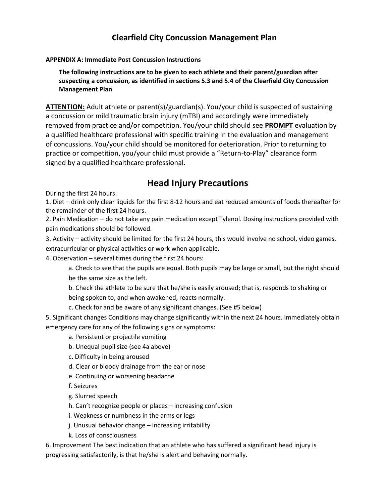## **APPENDIX A: Immediate Post Concussion Instructions**

**The following instructions are to be given to each athlete and their parent/guardian after suspecting a concussion, as identified in sections 5.3 and 5.4 of the Clearfield City Concussion Management Plan** 

**ATTENTION:** Adult athlete or parent(s)/guardian(s). You/your child is suspected of sustaining a concussion or mild traumatic brain injury (mTBI) and accordingly were immediately removed from practice and/or competition. You/your child should see **PROMPT** evaluation by a qualified healthcare professional with specific training in the evaluation and management of concussions. You/your child should be monitored for deterioration. Prior to returning to practice or competition, you/your child must provide a "Return-to-Play" clearance form signed by a qualified healthcare professional.

# **Head Injury Precautions**

During the first 24 hours:

1. Diet – drink only clear liquids for the first 8-12 hours and eat reduced amounts of foods thereafter for the remainder of the first 24 hours.

2. Pain Medication – do not take any pain medication except Tylenol. Dosing instructions provided with pain medications should be followed.

3. Activity – activity should be limited for the first 24 hours, this would involve no school, video games, extracurricular or physical activities or work when applicable.

4. Observation – several times during the first 24 hours:

a. Check to see that the pupils are equal. Both pupils may be large or small, but the right should be the same size as the left.

b. Check the athlete to be sure that he/she is easily aroused; that is, responds to shaking or being spoken to, and when awakened, reacts normally.

c. Check for and be aware of any significant changes. (See #5 below)

5. Significant changes Conditions may change significantly within the next 24 hours. Immediately obtain emergency care for any of the following signs or symptoms:

## a. Persistent or projectile vomiting

- b. Unequal pupil size (see 4a above)
- c. Difficulty in being aroused
- d. Clear or bloody drainage from the ear or nose
- e. Continuing or worsening headache
- f. Seizures

g. Slurred speech

- h. Can't recognize people or places increasing confusion
- i. Weakness or numbness in the arms or legs

j. Unusual behavior change – increasing irritability

k. Loss of consciousness

6. Improvement The best indication that an athlete who has suffered a significant head injury is progressing satisfactorily, is that he/she is alert and behaving normally.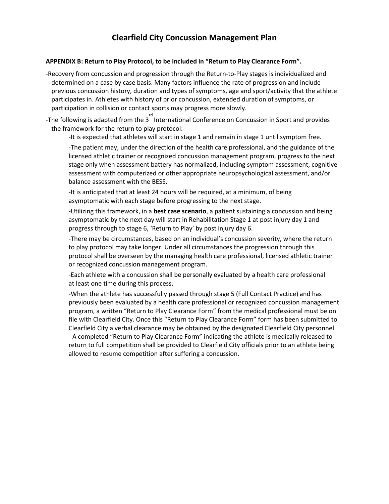#### **APPENDIX B: Return to Play Protocol, to be included in "Return to Play Clearance Form".**

‐Recovery from concussion and progression through the Return‐to‐Play stages is individualized and determined on a case by case basis. Many factors influence the rate of progression and include previous concussion history, duration and types of symptoms, age and sport/activity that the athlete participates in. Athletes with history of prior concussion, extended duration of symptoms, or participation in collision or contact sports may progress more slowly.

-The following is adapted from the 3<sup>rd</sup> International Conference on Concussion in Sport and provides the framework for the return to play protocol:

‐It is expected that athletes will start in stage 1 and remain in stage 1 until symptom free.

‐The patient may, under the direction of the health care professional, and the guidance of the licensed athletic trainer or recognized concussion management program, progress to the next stage only when assessment battery has normalized, including symptom assessment, cognitive assessment with computerized or other appropriate neuropsychological assessment, and/or balance assessment with the BESS.

‐It is anticipated that at least 24 hours will be required, at a minimum, of being asymptomatic with each stage before progressing to the next stage.

‐Utilizing this framework, in a **best case scenario**, a patient sustaining a concussion and being asymptomatic by the next day will start in Rehabilitation Stage 1 at post injury day 1 and progress through to stage 6, 'Return to Play' by post injury day 6.

‐There may be circumstances, based on an individual's concussion severity, where the return to play protocol may take longer. Under all circumstances the progression through this protocol shall be overseen by the managing health care professional, licensed athletic trainer or recognized concussion management program.

‐Each athlete with a concussion shall be personally evaluated by a health care professional at least one time during this process.

‐When the athlete has successfully passed through stage 5 (Full Contact Practice) and has previously been evaluated by a health care professional or recognized concussion management program, a written "Return to Play Clearance Form" from the medical professional must be on file with Clearfield City. Once this "Return to Play Clearance Form" form has been submitted to Clearfield City a verbal clearance may be obtained by the designated Clearfield City personnel. ‐A completed "Return to Play Clearance Form" indicating the athlete is medically released to return to full competition shall be provided to Clearfield City officials prior to an athlete being allowed to resume competition after suffering a concussion.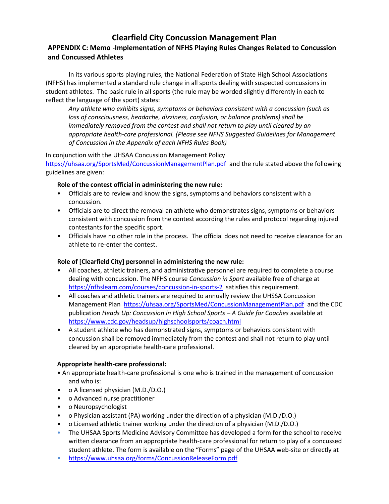## **APPENDIX C: Memo ‐Implementation of NFHS Playing Rules Changes Related to Concussion and Concussed Athletes**

In its various sports playing rules, the National Federation of State High School Associations (NFHS) has implemented a standard rule change in all sports dealing with suspected concussions in student athletes. The basic rule in all sports (the rule may be worded slightly differently in each to reflect the language of the sport) states:

*Any athlete who exhibits signs, symptoms or behaviors consistent with a concussion (such as loss of consciousness, headache, dizziness, confusion, or balance problems) shall be immediately removed from the contest and shall not return to play until cleared by an appropriate health-care professional. (Please see NFHS Suggested Guidelines for Management of Concussion in the Appendix of each NFHS Rules Book)* 

In conjunction with the UHSAA Concussion Management Policy

<https://uhsaa.org/SportsMed/ConcussionManagementPlan.pdf>and the rule stated above the following guidelines are given:

## **Role of the contest official in administering the new rule:**

- Officials are to review and know the signs, symptoms and behaviors consistent with a concussion.
- Officials are to direct the removal an athlete who demonstrates signs, symptoms or behaviors consistent with concussion from the contest according the rules and protocol regarding injured contestants for the specific sport.
- Officials have no other role in the process. The official does not need to receive clearance for an athlete to re-enter the contest.

## **Role of [Clearfield City] personnel in administering the new rule:**

- All coaches, athletic trainers, and administrative personnel are required to complete a course dealing with concussion. The NFHS course *Concussion in Sport* available free of charge at <https://nfhslearn.com/courses/concussion-in-sports-2>satisfies this requirement.
- All coaches and athletic trainers are required to annually review the UHSSA Concussion Management Plan <https://uhsaa.org/SportsMed/ConcussionManagementPlan.pdf>and the CDC publication *Heads Up: Concussion in High School Sports – A Guide for Coaches* available at <https://www.cdc.gov/headsup/highschoolsports/coach.html>
- A student athlete who has demonstrated signs, symptoms or behaviors consistent with concussion shall be removed immediately from the contest and shall not return to play until cleared by an appropriate health-care professional.

## **Appropriate health-care professional:**

- An appropriate health-care professional is one who is trained in the management of concussion and who is:
- o A licensed physician (M.D./D.O.)
- o Advanced nurse practitioner
- o Neuropsychologist
- o Physician assistant (PA) working under the direction of a physician (M.D./D.O.)
- o Licensed athletic trainer working under the direction of a physician (M.D./D.O.)
- The UHSAA Sports Medicine Advisory Committee has developed a form for the school to receive written clearance from an appropriate health-care professional for return to play of a concussed student athlete. The form is available on the "Forms" page of the UHSAA web-site or directly at
- <https://www.uhsaa.org/forms/ConcussionReleaseForm.pdf>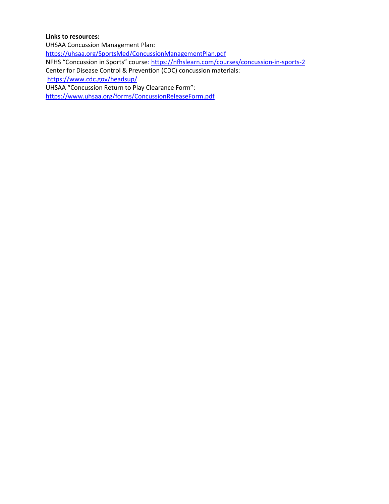### **Links to resources:**

UHSAA Concussion Management Plan: <https://uhsaa.org/SportsMed/ConcussionManagementPlan.pdf> NFHS "Concussion in Sports" course:<https://nfhslearn.com/courses/concussion-in-sports-2> Center for Disease Control & Prevention (CDC) concussion materials: <https://www.cdc.gov/headsup/> UHSAA "Concussion Return to Play Clearance Form": <https://www.uhsaa.org/forms/ConcussionReleaseForm.pdf>